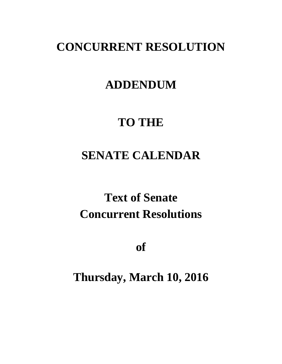## **CONCURRENT RESOLUTION**

## **ADDENDUM**

## **TO THE**

# **SENATE CALENDAR**

# **Text of Senate Concurrent Resolutions**

**of**

**Thursday, March 10, 2016**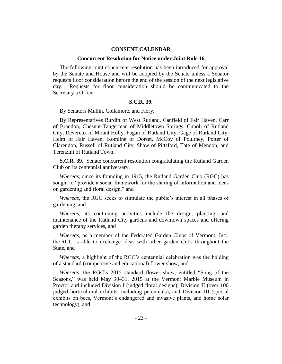### **CONSENT CALENDAR**

#### **Concurrent Resolution for Notice under Joint Rule 16**

The following joint concurrent resolution has been introduced for approval by the Senate and House and will be adopted by the Senate unless a Senator requests floor consideration before the end of the session of the next legislative day. Requests for floor consideration should be communicated to the Secretary's Office.

### **S.C.R. 39.**

By Senators Mullin, Collamore, and Flory,

By Representatives Burditt of West Rutland, Canfield of Fair Haven, Carr of Brandon, Chesnut-Tangerman of Middletown Springs, Cupoli of Rutland City, Devereux of Mount Holly, Fagan of Rutland City, Gage of Rutland City, Helm of Fair Haven, Komline of Dorset, McCoy of Poultney, Potter of Clarendon, Russell of Rutland City, Shaw of Pittsford, Tate of Mendon, and Terenzini of Rutland Town,

**S.C.R. 39.** Senate concurrent resolution congratulating the Rutland Garden Club on its centennial anniversary.

*Whereas*, since its founding in 1915, the Rutland Garden Club (RGC) has sought to "provide a social framework for the sharing of information and ideas on gardening and floral design," and

*Whereas*, the RGC seeks to stimulate the public's interest in all phases of gardening, and

*Whereas*, its continuing activities include the design, planting, and maintenance of the Rutland City gardens and downtown spaces and offering garden therapy services, and

*Whereas*, as a member of the Federated Garden Clubs of Vermont, Inc., the RGC is able to exchange ideas with other garden clubs throughout the State, and

*Whereas*, a highlight of the RGC's centennial celebration was the holding of a standard (competitive and educational) flower show, and

*Whereas*, the RGC's 2015 standard flower show, entitled "Song of the Seasons," was held May 30–31, 2015 at the Vermont Marble Museum in Proctor and included Division I (judged floral designs), Division II (over 100 judged horticultural exhibits, including perennials), and Division III (special exhibits on bees, Vermont's endangered and invasive plants, and home solar technology), and